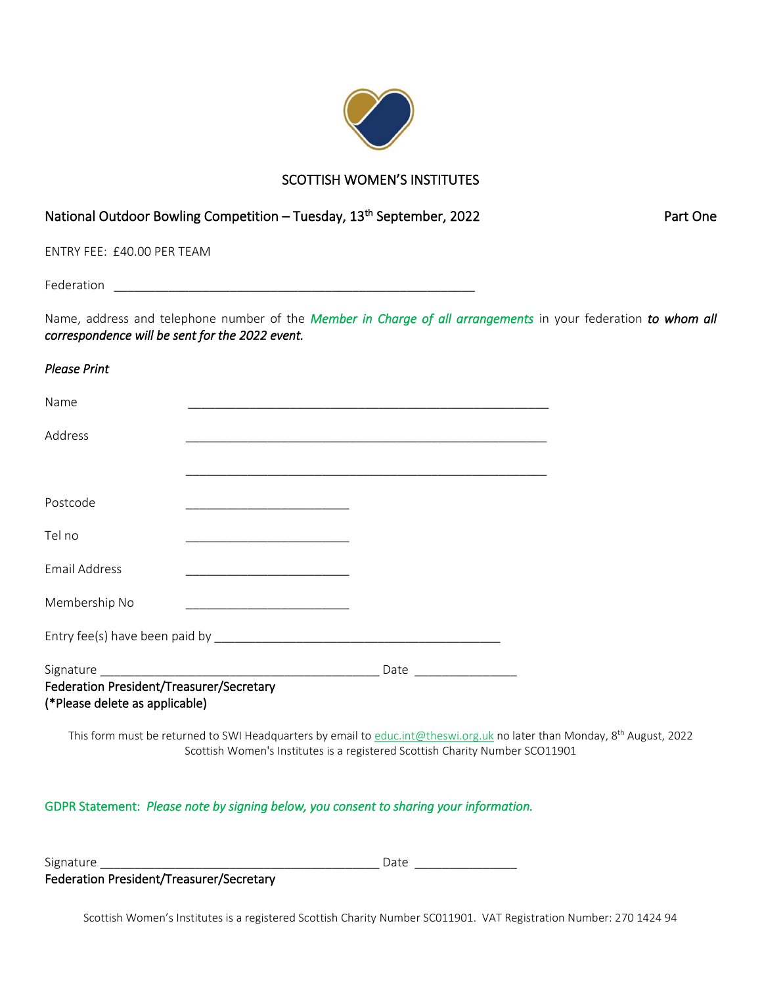

## SCOTTISH WOMEN'S INSTITUTES

# National Outdoor Bowling Competition – Tuesday, 13<sup>th</sup> September, 2022 **Part Chendical Conenability** Part One

ENTRY FEE: £40.00 PER TEAM

Federation \_\_\_\_\_\_\_\_\_\_\_\_\_\_\_\_\_\_\_\_\_\_\_\_\_\_\_\_\_\_\_\_\_\_\_\_\_\_\_\_\_\_\_\_\_\_\_\_\_\_\_\_\_

Name, address and telephone number of the *Member in Charge of all arrangements* in your federation *to whom all correspondence will be sent for the 2022 event.* 

| <b>Please Print</b>                                                                                                                   |                                                                                                                      |  |
|---------------------------------------------------------------------------------------------------------------------------------------|----------------------------------------------------------------------------------------------------------------------|--|
| Name                                                                                                                                  | <u> 1989 - Johann Barn, mars eta bat eta bat eta bat eta bat ez bat ez bat ez bat ez bat ez bat ez bat ez bat ez</u> |  |
| Address                                                                                                                               |                                                                                                                      |  |
|                                                                                                                                       |                                                                                                                      |  |
| Postcode<br><u> 2002 - Jan James James Jan James James James James James James James James James James James James James James Ja</u> |                                                                                                                      |  |
| Tel no<br><u> 1989 - Johann Barbara, martin amerikan ba</u>                                                                           |                                                                                                                      |  |
| <b>Email Address</b>                                                                                                                  |                                                                                                                      |  |
| Membership No<br><u> 1989 - Johann Barbara, martin amerikan ba</u>                                                                    |                                                                                                                      |  |
|                                                                                                                                       |                                                                                                                      |  |
|                                                                                                                                       |                                                                                                                      |  |
| Federation President/Treasurer/Secretary<br>(*Please delete as applicable)                                                            |                                                                                                                      |  |
| This form must be returned to SWI Headquarters by email to educ introduce to the no later than Monday                                 |                                                                                                                      |  |

This form must be returned to SWI Headquarters by email to <u>educ.int@theswi.org.uk</u> no later than Monday, 8<sup>th</sup> August, 2022 Scottish Women's Institutes is a registered Scottish Charity Number SCO11901

### GDPR Statement: *Please note by signing below, you consent to sharing your information.*

Signature \_\_\_\_\_\_\_\_\_\_\_\_\_\_\_\_\_\_\_\_\_\_\_\_\_\_\_\_\_\_\_\_\_\_\_\_\_\_\_\_\_ Date \_\_\_\_\_\_\_\_\_\_\_\_\_\_\_

Federation President/Treasurer/Secretary

Scottish Women's Institutes is a registered Scottish Charity Number SC011901. VAT Registration Number: 270 1424 94